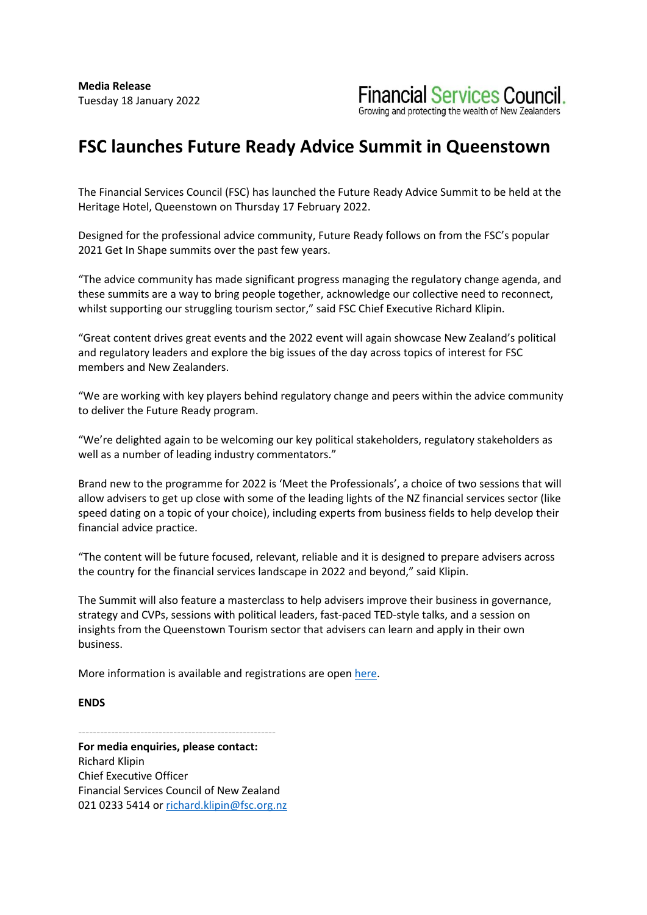

## **FSC launches Future Ready Advice Summit in Queenstown**

The Financial Services Council (FSC) has launched the Future Ready Advice Summit to be held at the Heritage Hotel, Queenstown on Thursday 17 February 2022.

Designed for the professional advice community, Future Ready follows on from the FSC's popular 2021 Get In Shape summits over the past few years.

"The advice community has made significant progress managing the regulatory change agenda, and these summits are a way to bring people together, acknowledge our collective need to reconnect, whilst supporting our struggling tourism sector," said FSC Chief Executive Richard Klipin.

"Great content drives great events and the 2022 event will again showcase New Zealand's political and regulatory leaders and explore the big issues of the day across topics of interest for FSC members and New Zealanders.

"We are working with key players behind regulatory change and peers within the advice community to deliver the Future Ready program.

"We're delighted again to be welcoming our key political stakeholders, regulatory stakeholders as well as a number of leading industry commentators."

Brand new to the programme for 2022 is 'Meet the Professionals', a choice of two sessions that will allow advisers to get up close with some of the leading lights of the NZ financial services sector (like speed dating on a topic of your choice), including experts from business fields to help develop their financial advice practice.

"The content will be future focused, relevant, reliable and it is designed to prepare advisers across the country for the financial services landscape in 2022 and beyond," said Klipin.

The Summit will also feature a masterclass to help advisers improve their business in governance, strategy and CVPs, sessions with political leaders, fast-paced TED-style talks, and a session on insights from the Queenstown Tourism sector that advisers can learn and apply in their own business.

More information is available and registrations are open here.

## **ENDS**

------------------------------------------------------

**For media enquiries, please contact:** Richard Klipin Chief Executive Officer Financial Services Council of New Zealand 021 0233 5414 or richard.klipin@fsc.org.nz